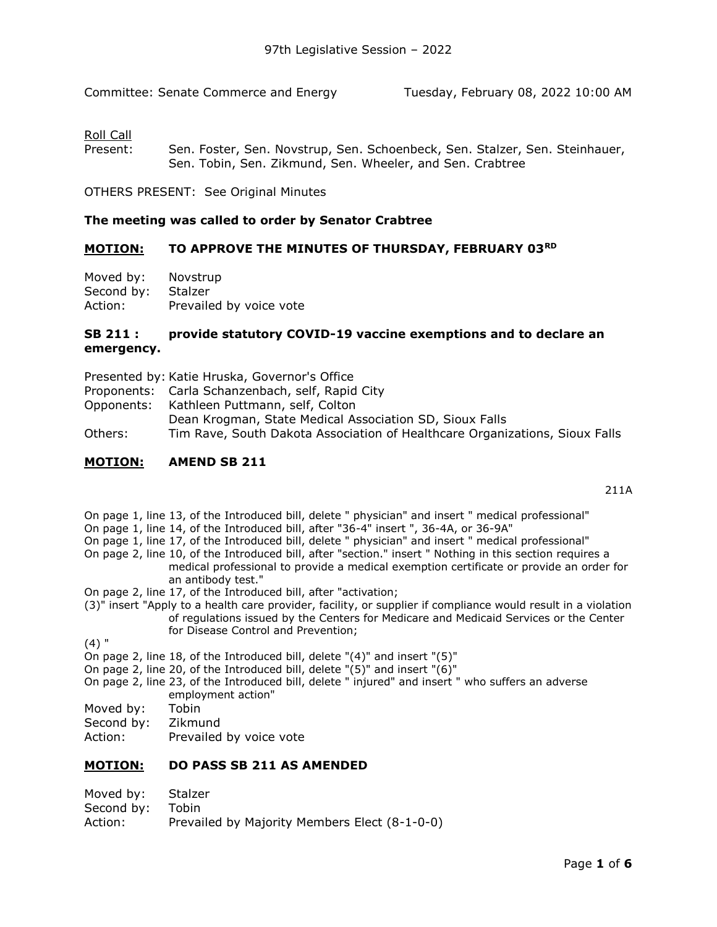Committee: Senate Commerce and Energy Tuesday, February 08, 2022 10:00 AM

# Roll Call

Present: Sen. [Foster, S](https://sdlegislature.gov/Legislators/Profile/3939/Detail)en. [Novstrup, S](https://sdlegislature.gov/Legislators/Profile/3939/Detail)en. [Schoenbeck, S](https://sdlegislature.gov/Legislators/Profile/3993/Detail)en. [Stalzer, S](https://sdlegislature.gov/Legislators/Profile/3993/Detail)en. [Steinhauer,](https://sdlegislature.gov/Legislators/Profile/4000/Detail)  Sen. [Tobin, S](https://sdlegislature.gov/Legislators/Profile/4006/Detail)en. [Zikmund, S](https://sdlegislature.gov/Legislators/Profile/4006/Detail)en. [Wheeler, a](https://sdlegislature.gov/Legislators/Profile/4010/Detail)nd Sen. [Crabtree](https://sdlegislature.gov/Legislators/Profile/3925/Detail)

OTHERS PRESENT: See Original Minutes

#### **The meeting was called to order by Senator [Crabtree](https://sdlegislature.gov/Legislators/Profile/3925/Detail)**

### **MOTION: TO APPROVE THE MINUTES OF THURSDAY, FEBRUARY 03RD**

| Moved by:  | Novstrup                |
|------------|-------------------------|
| Second by: | Stalzer                 |
| Action:    | Prevailed by voice vote |

## **[SB](https://sdlegislature.gov/Session/Bills/64) [211](https://sdlegislature.gov/Session/Bills/64) : provide statutory COVID-19 vaccine exemptions and to declare an emergency.**

- Presented by: Katie Hruska, Governor's Office
- Proponents: Carla Schanzenbach, self, Rapid City
- Opponents: Kathleen Puttmann, self, Colton
	- Dean Krogman, State Medical Association SD, Sioux Falls
- Others: Tim Rave, South Dakota Association of Healthcare Organizations, Sioux Falls

#### **MOTION: AMEND [SB](https://sdlegislature.gov/Session/Bills/64) [211](https://sdlegislature.gov/Session/Bills/64)**

[211A](https://mylrc.sdlegislature.gov/api/documents/Amendment/232538.pdf)

On page 1, line 13, of the Introduced bill, delete " physician" and insert " medical professional"

- On page 1, line 14, of the Introduced bill, after "36-4" insert ", 36-4A, or 36-9A"
- On page 1, line 17, of the Introduced bill, delete " physician" and insert " medical professional"
- On page 2, line 10, of the Introduced bill, after "section." insert " Nothing in this section requires a medical professional to provide a medical exemption certificate or provide an order for an antibody test."
- On page 2, line 17, of the Introduced bill, after "activation;
- (3)" insert "Apply to a health care provider, facility, or supplier if compliance would result in a violation of regulations issued by the Centers for Medicare and Medicaid Services or the Center for Disease Control and Prevention;

(4) "

- On page 2, line 18, of the Introduced bill, delete "(4)" and insert "(5)"
- On page 2, line 20, of the Introduced bill, delete " $(5)$ " and insert " $(6)$ "
- On page 2, line 23, of the Introduced bill, delete " injured" and insert " who suffers an adverse employment action"
- Moved by: [Tobin](https://sdlegislature.gov/Legislators/Profile/4006/Detail)
- Second by: [Zikmund](https://sdlegislature.gov/Legislators/Profile/4016/Detail)
- Action: Prevailed by voice vote

### **MOTION: DO PASS [SB](https://sdlegislature.gov/Session/Bills/64) [211](https://sdlegislature.gov/Session/Bills/64) AS AMENDED**

| Moved by: | Stalzer |
|-----------|---------|
|-----------|---------|

- Second by: [Tobin](https://sdlegislature.gov/Legislators/Profile/4006/Detail)
- Action: Prevailed by Majority Members Elect (8-1-0-0)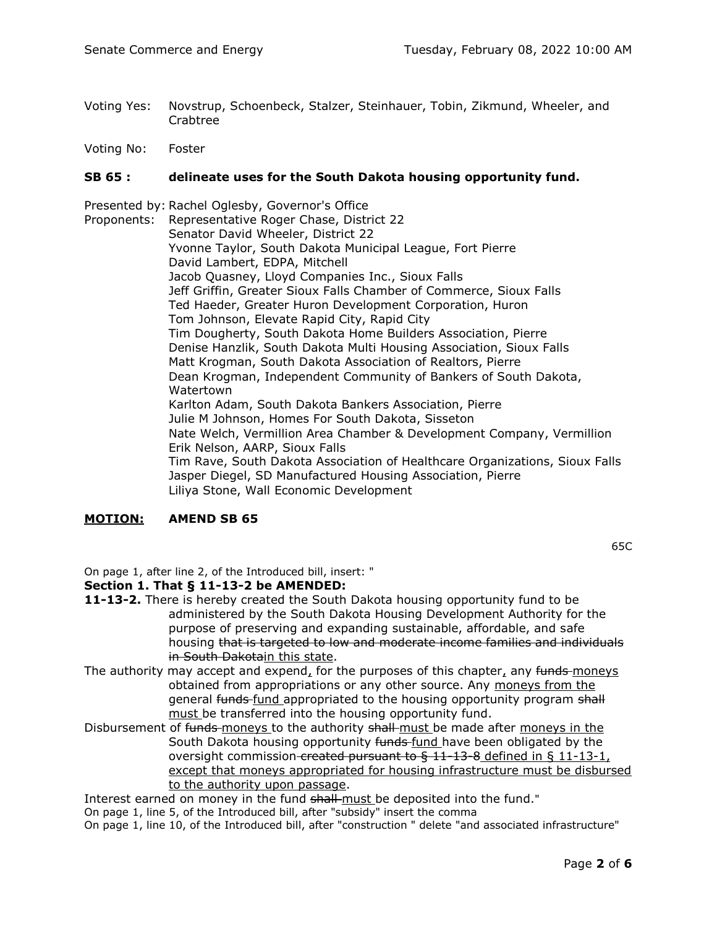- Voting Yes: [Novstrup, Schoenbeck,](https://sdlegislature.gov/Legislators/Profile/3975/Detail) [Stalzer, Steinhauer,](https://sdlegislature.gov/Legislators/Profile/3999/Detail) [Tobin, Zikmund,](https://sdlegislature.gov/Legislators/Profile/4006/Detail) [Wheeler, a](https://sdlegislature.gov/Legislators/Profile/4010/Detail)nd [Crabtree](https://sdlegislature.gov/Legislators/Profile/3925/Detail)
- Voting No: [Foster](https://sdlegislature.gov/Legislators/Profile/3939/Detail)

### **[SB](https://sdlegislature.gov/Session/Bills/64) [65](https://sdlegislature.gov/Session/Bills/64) : delineate uses for the South Dakota housing opportunity fund.**

Presented by: Rachel Oglesby, Governor's Office Proponents: Representative Roger Chase, District 22 Senator David Wheeler, District 22 Yvonne Taylor, South Dakota Municipal League, Fort Pierre David Lambert, EDPA, Mitchell Jacob Quasney, Lloyd Companies Inc., Sioux Falls Jeff Griffin, Greater Sioux Falls Chamber of Commerce, Sioux Falls Ted Haeder, Greater Huron Development Corporation, Huron Tom Johnson, Elevate Rapid City, Rapid City Tim Dougherty, South Dakota Home Builders Association, Pierre Denise Hanzlik, South Dakota Multi Housing Association, Sioux Falls Matt Krogman, South Dakota Association of Realtors, Pierre Dean Krogman, Independent Community of Bankers of South Dakota, Watertown Karlton Adam, South Dakota Bankers Association, Pierre Julie M Johnson, Homes For South Dakota, Sisseton Nate Welch, Vermillion Area Chamber & Development Company, Vermillion Erik Nelson, AARP, Sioux Falls Tim Rave, South Dakota Association of Healthcare Organizations, Sioux Falls Jasper Diegel, SD Manufactured Housing Association, Pierre Liliya Stone, Wall Economic Development

### **MOTION: AMEND [SB](https://sdlegislature.gov/Session/Bills/64) [65](https://sdlegislature.gov/Session/Bills/64)**

[65C](https://mylrc.sdlegislature.gov/api/documents/Amendment/232596.pdf)

On page 1, after line 2, of the Introduced bill, insert: "

### **Section 1. That § 11-13-2 be AMENDED:**

- **11-13-2.** There is hereby created the South Dakota housing opportunity fund to be administered by the South Dakota Housing Development Authority for the purpose of preserving and expanding sustainable, affordable, and safe housing that is targeted to low and moderate income families and individuals in South Dakotain this state.
- The authority may accept and expend, for the purposes of this chapter, any funds-moneys obtained from appropriations or any other source. Any moneys from the general funds-fund appropriated to the housing opportunity program shall must be transferred into the housing opportunity fund.
- Disbursement of funds-moneys to the authority shall-must be made after moneys in the South Dakota housing opportunity funds-fund have been obligated by the oversight commission-created pursuant to  $\frac{6}{11-13-8}$  defined in  $\frac{6}{11-13-1}$ , except that moneys appropriated for housing infrastructure must be disbursed to the authority upon passage.

Interest earned on money in the fund shall must be deposited into the fund."

On page 1, line 5, of the Introduced bill, after "subsidy" insert the comma

On page 1, line 10, of the Introduced bill, after "construction " delete "and associated infrastructure"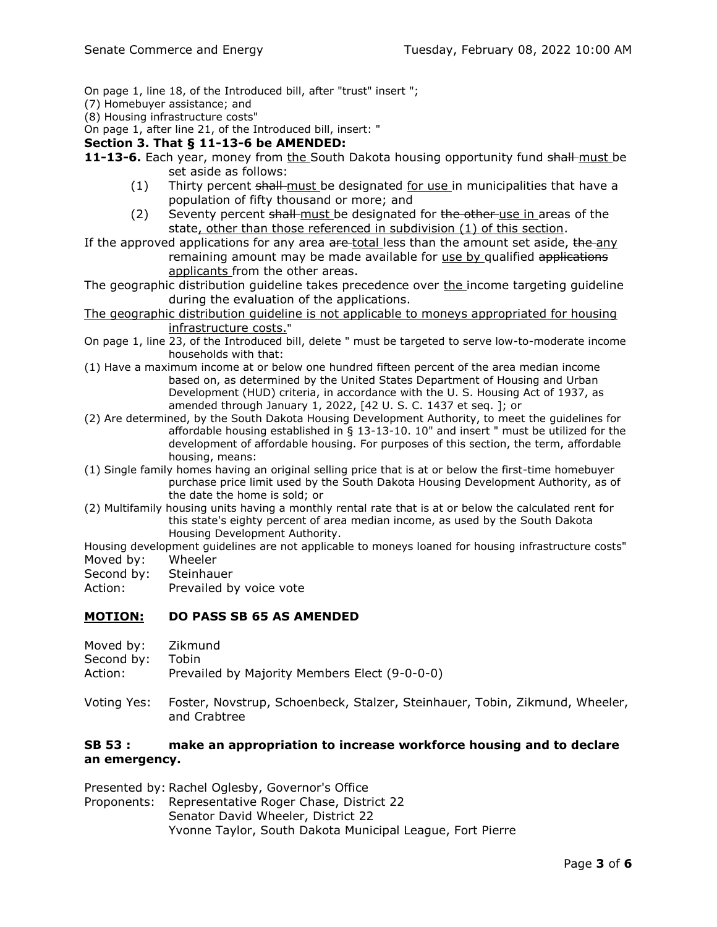On page 1, line 18, of the Introduced bill, after "trust" insert ";

- (7) Homebuyer assistance; and
- (8) Housing infrastructure costs"

On page 1, after line 21, of the Introduced bill, insert: "

#### **Section 3. That § 11-13-6 be AMENDED:**

- **11-13-6.** Each year, money from the South Dakota housing opportunity fund shall must be set aside as follows:
	- $(1)$  Thirty percent shall-must be designated for use in municipalities that have a population of fifty thousand or more; and
	- (2) Seventy percent shall must be designated for the other use in areas of the state, other than those referenced in subdivision (1) of this section.
- If the approved applications for any area are-total less than the amount set aside, the any remaining amount may be made available for use by qualified applications applicants from the other areas.
- The geographic distribution guideline takes precedence over the income targeting guideline during the evaluation of the applications.
- The geographic distribution guideline is not applicable to moneys appropriated for housing infrastructure costs."
- On page 1, line 23, of the Introduced bill, delete " must be targeted to serve low-to-moderate income households with that:
- (1) Have a maximum income at or below one hundred fifteen percent of the area median income based on, as determined by the United States Department of Housing and Urban Development (HUD) criteria, in accordance with the U. S. Housing Act of 1937, as amended through January 1, 2022, [42 U. S. C. 1437 et seq. ]; or
- (2) Are determined, by the South Dakota Housing Development Authority, to meet the guidelines for affordable housing established in  $\S$  13-13-10. 10" and insert " must be utilized for the development of affordable housing. For purposes of this section, the term, affordable housing, means:
- (1) Single family homes having an original selling price that is at or below the first-time homebuyer purchase price limit used by the South Dakota Housing Development Authority, as of the date the home is sold; or
- (2) Multifamily housing units having a monthly rental rate that is at or below the calculated rent for this state's eighty percent of area median income, as used by the South Dakota Housing Development Authority.

Housing development guidelines are not applicable to moneys loaned for housing infrastructure costs" Moved by: [Wheeler](https://sdlegislature.gov/Legislators/Profile/4010/Detail)

- Second by: [Steinhauer](https://sdlegislature.gov/Legislators/Profile/4000/Detail)
- Action: Prevailed by voice vote

### **MOTION: DO PASS [SB](https://sdlegislature.gov/Session/Bills/64) [65](https://sdlegislature.gov/Session/Bills/64) AS AMENDED**

- Moved by: [Zikmund](https://sdlegislature.gov/Legislators/Profile/4016/Detail)
- Second by: [Tobin](https://sdlegislature.gov/Legislators/Profile/4006/Detail)
- Action: Prevailed by Majority Members Elect (9-0-0-0)
- Voting Yes: [Foster, Novstrup,](https://sdlegislature.gov/Legislators/Profile/3939/Detail) [Schoenbeck, Stalzer,](https://sdlegislature.gov/Legislators/Profile/3993/Detail) [Steinhauer, Tobin,](https://sdlegislature.gov/Legislators/Profile/4000/Detail) [Zikmund, Wheeler,](https://sdlegislature.gov/Legislators/Profile/4016/Detail)  and [Crabtree](https://sdlegislature.gov/Legislators/Profile/3925/Detail)

# **[SB](https://sdlegislature.gov/Session/Bills/64) [53](https://sdlegislature.gov/Session/Bills/64) : make an appropriation to increase workforce housing and to declare an emergency.**

Presented by: Rachel Oglesby, Governor's Office

Proponents: Representative Roger Chase, District 22 Senator David Wheeler, District 22 Yvonne Taylor, South Dakota Municipal League, Fort Pierre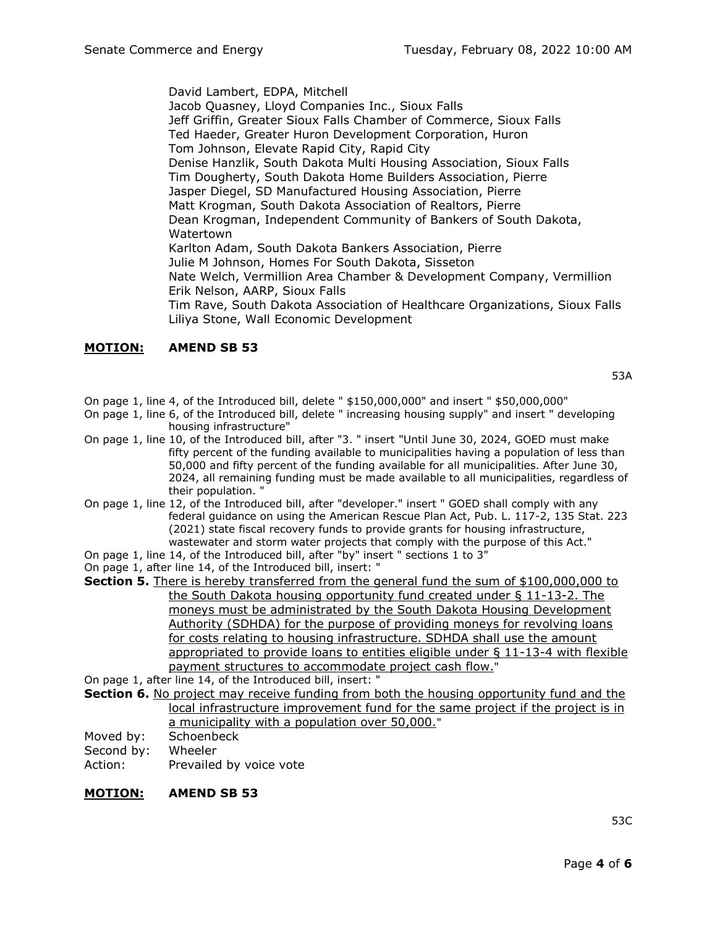David Lambert, EDPA, Mitchell Jacob Quasney, Lloyd Companies Inc., Sioux Falls Jeff Griffin, Greater Sioux Falls Chamber of Commerce, Sioux Falls Ted Haeder, Greater Huron Development Corporation, Huron Tom Johnson, Elevate Rapid City, Rapid City Denise Hanzlik, South Dakota Multi Housing Association, Sioux Falls Tim Dougherty, South Dakota Home Builders Association, Pierre Jasper Diegel, SD Manufactured Housing Association, Pierre Matt Krogman, South Dakota Association of Realtors, Pierre Dean Krogman, Independent Community of Bankers of South Dakota, Watertown Karlton Adam, South Dakota Bankers Association, Pierre Julie M Johnson, Homes For South Dakota, Sisseton Nate Welch, Vermillion Area Chamber & Development Company, Vermillion Erik Nelson, AARP, Sioux Falls Tim Rave, South Dakota Association of Healthcare Organizations, Sioux Falls Liliya Stone, Wall Economic Development

### **MOTION: AMEND [SB](https://sdlegislature.gov/Session/Bills/64) [53](https://sdlegislature.gov/Session/Bills/64)**

[53A](https://mylrc.sdlegislature.gov/api/documents/Amendment/229499.pdf)

- On page 1, line 4, of the Introduced bill, delete " \$150,000,000" and insert " \$50,000,000"
- On page 1, line 6, of the Introduced bill, delete " increasing housing supply" and insert " developing housing infrastructure"
- On page 1, line 10, of the Introduced bill, after "3. " insert "Until June 30, 2024, GOED must make fifty percent of the funding available to municipalities having a population of less than 50,000 and fifty percent of the funding available for all municipalities. After June 30, 2024, all remaining funding must be made available to all municipalities, regardless of their population. "
- On page 1, line 12, of the Introduced bill, after "developer." insert " GOED shall comply with any federal guidance on using the American Rescue Plan Act, Pub. L. 117-2, 135 Stat. 223 (2021) state fiscal recovery funds to provide grants for housing infrastructure, wastewater and storm water projects that comply with the purpose of this Act."
- On page 1, line 14, of the Introduced bill, after "by" insert " sections 1 to 3"
- On page 1, after line 14, of the Introduced bill, insert: "

**Section 5.** There is hereby transferred from the general fund the sum of \$100,000,000 to the South Dakota housing opportunity fund created under § 11-13-2. The moneys must be administrated by the South Dakota Housing Development Authority (SDHDA) for the purpose of providing moneys for revolving loans for costs relating to housing infrastructure. SDHDA shall use the amount appropriated to provide loans to entities eligible under  $\S$  11-13-4 with flexible payment structures to accommodate project cash flow."

On page 1, after line 14, of the Introduced bill, insert: "

- **Section 6.** No project may receive funding from both the housing opportunity fund and the local infrastructure improvement fund for the same project if the project is in a municipality with a population over 50,000."
- Moved by: [Schoenbeck](https://sdlegislature.gov/Legislators/Profile/3993/Detail)

Second by: [Wheeler](https://sdlegislature.gov/Legislators/Profile/4010/Detail)

Action: Prevailed by voice vote

#### **MOTION: AMEND [SB](https://sdlegislature.gov/Session/Bills/64) [53](https://sdlegislature.gov/Session/Bills/64)**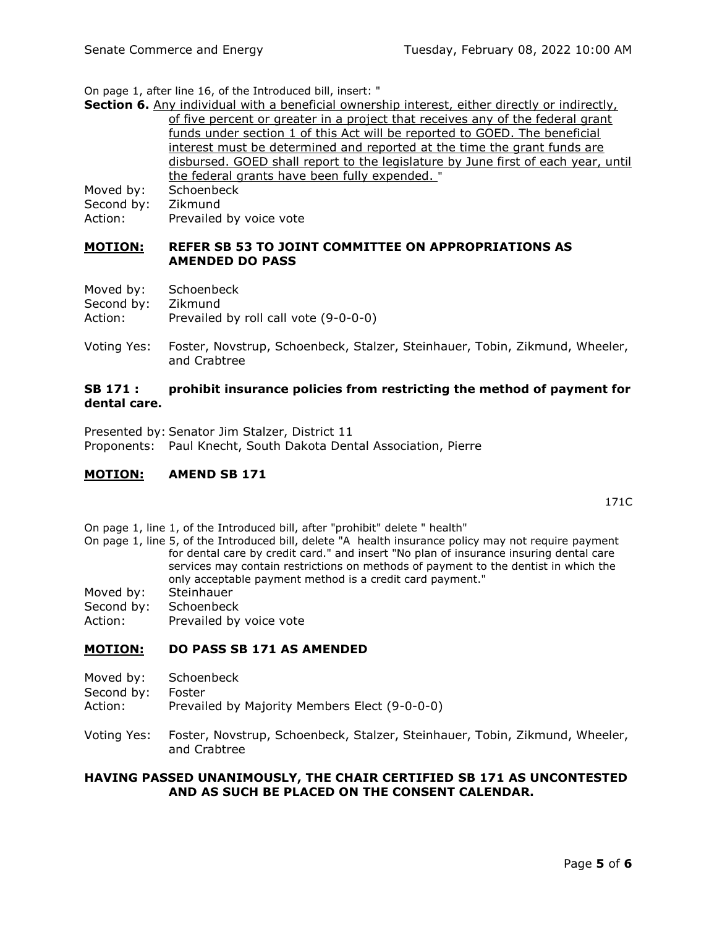On page 1, after line 16, of the Introduced bill, insert: "

|                                                                                | <b>Section 6.</b> Any individual with a beneficial ownership interest, either directly or indirectly, |  |  |  |  |
|--------------------------------------------------------------------------------|-------------------------------------------------------------------------------------------------------|--|--|--|--|
| of five percent or greater in a project that receives any of the federal grant |                                                                                                       |  |  |  |  |
|                                                                                | funds under section 1 of this Act will be reported to GOED. The beneficial                            |  |  |  |  |
|                                                                                | interest must be determined and reported at the time the grant funds are                              |  |  |  |  |
|                                                                                | disbursed. GOED shall report to the legislature by June first of each year, until                     |  |  |  |  |
|                                                                                | the federal grants have been fully expended. "                                                        |  |  |  |  |
| Moved by:                                                                      | Schoenbeck                                                                                            |  |  |  |  |
| Second by:                                                                     | Zikmund                                                                                               |  |  |  |  |
| Action:                                                                        | Prevailed by voice vote                                                                               |  |  |  |  |

#### **MOTION: REFER [SB](https://sdlegislature.gov/Session/Bills/64) [53](https://sdlegislature.gov/Session/Bills/64) TO JOINT COMMITTEE ON APPROPRIATIONS AS AMENDED DO PASS**

| Moved by:  | Schoenbeck                            |
|------------|---------------------------------------|
| Second by: | Zikmund                               |
| Action:    | Prevailed by roll call vote (9-0-0-0) |

Voting Yes: [Foster, Novstrup,](https://sdlegislature.gov/Legislators/Profile/3939/Detail) [Schoenbeck, Stalzer,](https://sdlegislature.gov/Legislators/Profile/3993/Detail) [Steinhauer, Tobin,](https://sdlegislature.gov/Legislators/Profile/4000/Detail) [Zikmund, Wheeler,](https://sdlegislature.gov/Legislators/Profile/4016/Detail)  and [Crabtree](https://sdlegislature.gov/Legislators/Profile/3925/Detail)

#### **[SB](https://sdlegislature.gov/Session/Bills/64) [171](https://sdlegislature.gov/Session/Bills/64) : prohibit insurance policies from restricting the method of payment for dental care.**

Presented by: Senator Jim Stalzer, District 11 Proponents: Paul Knecht, South Dakota Dental Association, Pierre

### **MOTION: AMEND [SB](https://sdlegislature.gov/Session/Bills/64) [171](https://sdlegislature.gov/Session/Bills/64)**

[171C](https://mylrc.sdlegislature.gov/api/documents/Amendment/232784.pdf)

On page 1, line 1, of the Introduced bill, after "prohibit" delete " health"

On page 1, line 5, of the Introduced bill, delete "A health insurance policy may not require payment for dental care by credit card." and insert "No plan of insurance insuring dental care services may contain restrictions on methods of payment to the dentist in which the only acceptable payment method is a credit card payment."

- Moved by: [Steinhauer](https://sdlegislature.gov/Legislators/Profile/4000/Detail)
- Second by: [Schoenbeck](https://sdlegislature.gov/Legislators/Profile/3993/Detail)
- Action: Prevailed by voice vote

### **MOTION: DO PASS [SB](https://sdlegislature.gov/Session/Bills/64) [171](https://sdlegislature.gov/Session/Bills/64) AS AMENDED**

- Moved by: [Schoenbeck](https://sdlegislature.gov/Legislators/Profile/3993/Detail)
- Second by: [Foster](https://sdlegislature.gov/Legislators/Profile/3939/Detail)
- Action: Prevailed by Majority Members Elect (9-0-0-0)
- Voting Yes: [Foster, Novstrup,](https://sdlegislature.gov/Legislators/Profile/3939/Detail) [Schoenbeck, Stalzer,](https://sdlegislature.gov/Legislators/Profile/3993/Detail) [Steinhauer, Tobin,](https://sdlegislature.gov/Legislators/Profile/4000/Detail) [Zikmund, Wheeler,](https://sdlegislature.gov/Legislators/Profile/4016/Detail)  and [Crabtree](https://sdlegislature.gov/Legislators/Profile/3925/Detail)

#### **HAVING PASSED UNANIMOUSLY, THE CHAIR CERTIFIED [SB](https://sdlegislature.gov/Session/Bills/64) [171](https://sdlegislature.gov/Session/Bills/64) AS UNCONTESTED AND AS SUCH BE PLACED ON THE CONSENT CALENDAR.**